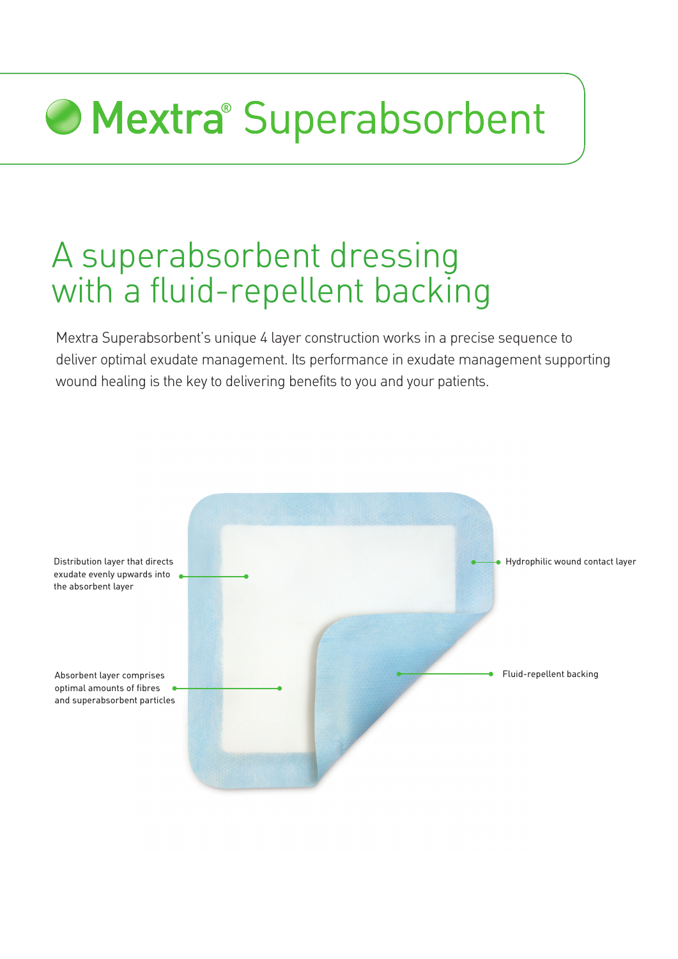# **Mextra** Superabsorbent

# A superabsorbent dressing with a fluid-repellent backing

Mextra Superabsorbent's unique 4 layer construction works in a precise sequence to deliver optimal exudate management. Its performance in exudate management supporting wound healing is the key to delivering benefits to you and your patients.